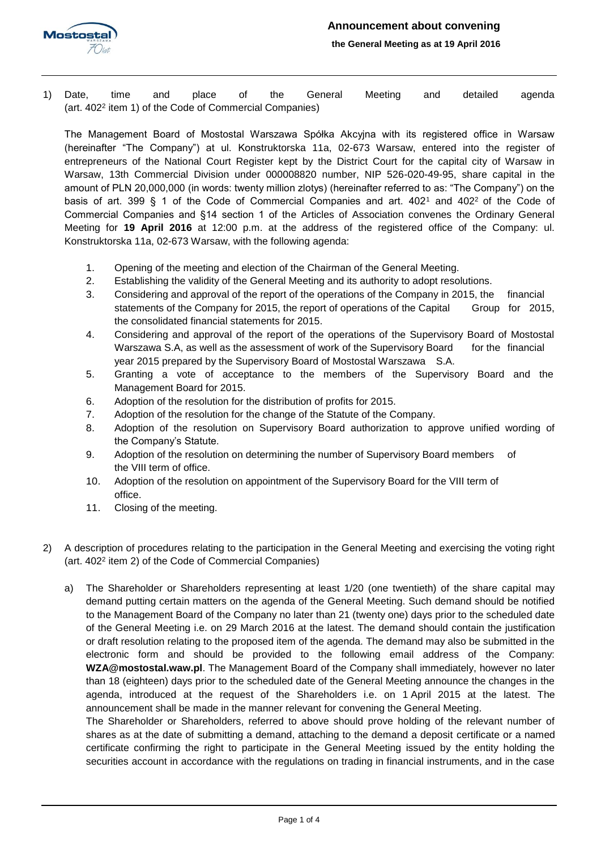

1) Date, time and place of the General Meeting and detailed agenda (art. 402<sup>2</sup> item 1) of the Code of Commercial Companies)

The Management Board of Mostostal Warszawa Spółka Akcyjna with its registered office in Warsaw (hereinafter "The Company") at ul. Konstruktorska 11a, 02-673 Warsaw, entered into the register of entrepreneurs of the National Court Register kept by the District Court for the capital city of Warsaw in Warsaw, 13th Commercial Division under 000008820 number, NIP 526-020-49-95, share capital in the amount of PLN 20,000,000 (in words: twenty million zlotys) (hereinafter referred to as: "The Company") on the basis of art. 399 § 1 of the Code of Commercial Companies and art.  $402<sup>1</sup>$  and  $402<sup>2</sup>$  of the Code of Commercial Companies and §14 section 1 of the Articles of Association convenes the Ordinary General Meeting for **19 April 2016** at 12:00 p.m. at the address of the registered office of the Company: ul. Konstruktorska 11a, 02-673 Warsaw, with the following agenda:

- 1. Opening of the meeting and election of the Chairman of the General Meeting.
- 2. Establishing the validity of the General Meeting and its authority to adopt resolutions.
- 3. Considering and approval of the report of the operations of the Company in 2015, the financial statements of the Company for 2015, the report of operations of the Capital Group for 2015, the consolidated financial statements for 2015.
- 4. Considering and approval of the report of the operations of the Supervisory Board of Mostostal Warszawa S.A, as well as the assessment of work of the Supervisory Board for the financial year 2015 prepared by the Supervisory Board of Mostostal Warszawa S.A.
- 5. Granting a vote of acceptance to the members of the Supervisory Board and the Management Board for 2015.
- 6. Adoption of the resolution for the distribution of profits for 2015.
- 7. Adoption of the resolution for the change of the Statute of the Company.
- 8. Adoption of the resolution on Supervisory Board authorization to approve unified wording of the Company's Statute.
- 9. Adoption of the resolution on determining the number of Supervisory Board members of the VIII term of office.
- 10. Adoption of the resolution on appointment of the Supervisory Board for the VIII term of office.
- 11. Closing of the meeting.
- 2) A description of procedures relating to the participation in the General Meeting and exercising the voting right (art. 402<sup>2</sup> item 2) of the Code of Commercial Companies)
	- a) The Shareholder or Shareholders representing at least 1/20 (one twentieth) of the share capital may demand putting certain matters on the agenda of the General Meeting. Such demand should be notified to the Management Board of the Company no later than 21 (twenty one) days prior to the scheduled date of the General Meeting i.e. on 29 March 2016 at the latest. The demand should contain the justification or draft resolution relating to the proposed item of the agenda. The demand may also be submitted in the electronic form and should be provided to the following email address of the Company: **WZA@mostostal.waw.pl**. The Management Board of the Company shall immediately, however no later than 18 (eighteen) days prior to the scheduled date of the General Meeting announce the changes in the agenda, introduced at the request of the Shareholders i.e. on 1 April 2015 at the latest. The announcement shall be made in the manner relevant for convening the General Meeting.

The Shareholder or Shareholders, referred to above should prove holding of the relevant number of shares as at the date of submitting a demand, attaching to the demand a deposit certificate or a named certificate confirming the right to participate in the General Meeting issued by the entity holding the securities account in accordance with the regulations on trading in financial instruments, and in the case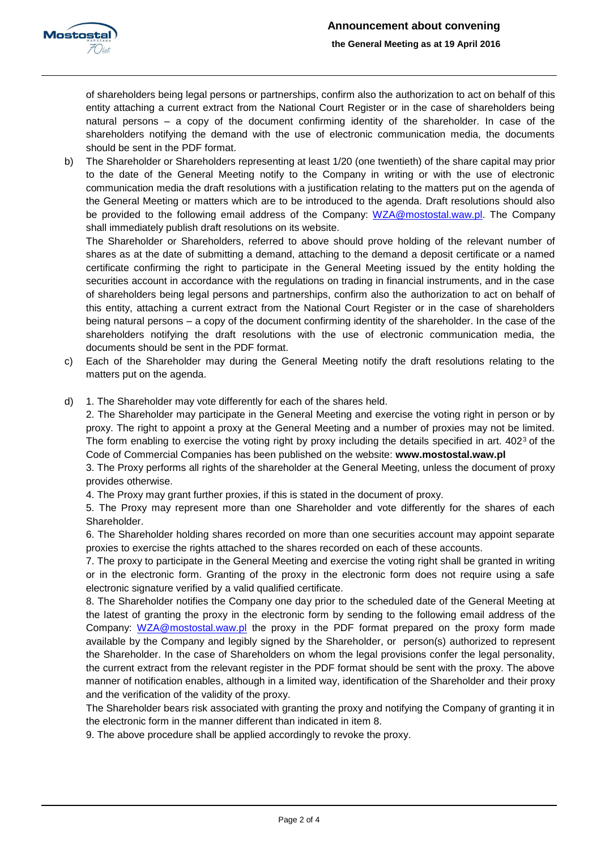

of shareholders being legal persons or partnerships, confirm also the authorization to act on behalf of this entity attaching a current extract from the National Court Register or in the case of shareholders being natural persons – a copy of the document confirming identity of the shareholder. In case of the shareholders notifying the demand with the use of electronic communication media, the documents should be sent in the PDF format.

b) The Shareholder or Shareholders representing at least 1/20 (one twentieth) of the share capital may prior to the date of the General Meeting notify to the Company in writing or with the use of electronic communication media the draft resolutions with a justification relating to the matters put on the agenda of the General Meeting or matters which are to be introduced to the agenda. Draft resolutions should also be provided to the following email address of the Company: [WZA@mostostal.waw.pl.](mailto:WZA@mostostal.waw.pl) The Company shall immediately publish draft resolutions on its website.

The Shareholder or Shareholders, referred to above should prove holding of the relevant number of shares as at the date of submitting a demand, attaching to the demand a deposit certificate or a named certificate confirming the right to participate in the General Meeting issued by the entity holding the securities account in accordance with the regulations on trading in financial instruments, and in the case of shareholders being legal persons and partnerships, confirm also the authorization to act on behalf of this entity, attaching a current extract from the National Court Register or in the case of shareholders being natural persons – a copy of the document confirming identity of the shareholder. In the case of the shareholders notifying the draft resolutions with the use of electronic communication media, the documents should be sent in the PDF format.

- c) Each of the Shareholder may during the General Meeting notify the draft resolutions relating to the matters put on the agenda.
- d) 1. The Shareholder may vote differently for each of the shares held.

2. The Shareholder may participate in the General Meeting and exercise the voting right in person or by proxy. The right to appoint a proxy at the General Meeting and a number of proxies may not be limited. The form enabling to exercise the voting right by proxy including the details specified in art.  $402<sup>3</sup>$  of the Code of Commercial Companies has been published on the website: **www.mostostal.waw.pl**

3. The Proxy performs all rights of the shareholder at the General Meeting, unless the document of proxy provides otherwise.

4. The Proxy may grant further proxies, if this is stated in the document of proxy.

5. The Proxy may represent more than one Shareholder and vote differently for the shares of each Shareholder.

6. The Shareholder holding shares recorded on more than one securities account may appoint separate proxies to exercise the rights attached to the shares recorded on each of these accounts.

7. The proxy to participate in the General Meeting and exercise the voting right shall be granted in writing or in the electronic form. Granting of the proxy in the electronic form does not require using a safe electronic signature verified by a valid qualified certificate.

8. The Shareholder notifies the Company one day prior to the scheduled date of the General Meeting at the latest of granting the proxy in the electronic form by sending to the following email address of the Company: [WZA@mostostal.waw.pl](mailto:WZA@mostostal.waw.pl) the proxy in the PDF format prepared on the proxy form made available by the Company and legibly signed by the Shareholder, or person(s) authorized to represent the Shareholder. In the case of Shareholders on whom the legal provisions confer the legal personality, the current extract from the relevant register in the PDF format should be sent with the proxy. The above manner of notification enables, although in a limited way, identification of the Shareholder and their proxy and the verification of the validity of the proxy.

The Shareholder bears risk associated with granting the proxy and notifying the Company of granting it in the electronic form in the manner different than indicated in item 8.

9. The above procedure shall be applied accordingly to revoke the proxy.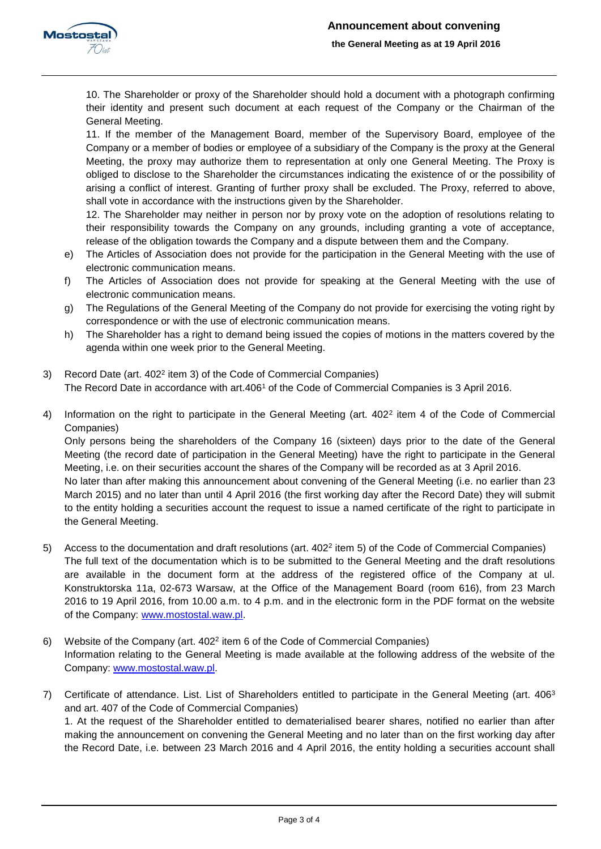

10. The Shareholder or proxy of the Shareholder should hold a document with a photograph confirming their identity and present such document at each request of the Company or the Chairman of the General Meeting.

11. If the member of the Management Board, member of the Supervisory Board, employee of the Company or a member of bodies or employee of a subsidiary of the Company is the proxy at the General Meeting, the proxy may authorize them to representation at only one General Meeting. The Proxy is obliged to disclose to the Shareholder the circumstances indicating the existence of or the possibility of arising a conflict of interest. Granting of further proxy shall be excluded. The Proxy, referred to above, shall vote in accordance with the instructions given by the Shareholder.

12. The Shareholder may neither in person nor by proxy vote on the adoption of resolutions relating to their responsibility towards the Company on any grounds, including granting a vote of acceptance, release of the obligation towards the Company and a dispute between them and the Company.

- e) The Articles of Association does not provide for the participation in the General Meeting with the use of electronic communication means.
- f) The Articles of Association does not provide for speaking at the General Meeting with the use of electronic communication means.
- g) The Regulations of the General Meeting of the Company do not provide for exercising the voting right by correspondence or with the use of electronic communication means.
- h) The Shareholder has a right to demand being issued the copies of motions in the matters covered by the agenda within one week prior to the General Meeting.
- 3) Record Date (art. 402<sup>2</sup> item 3) of the Code of Commercial Companies) The Record Date in accordance with art.406<sup>1</sup> of the Code of Commercial Companies is 3 April 2016.
- 4) Information on the right to participate in the General Meeting (art. 402<sup>2</sup> item 4 of the Code of Commercial Companies)

Only persons being the shareholders of the Company 16 (sixteen) days prior to the date of the General Meeting (the record date of participation in the General Meeting) have the right to participate in the General Meeting, i.e. on their securities account the shares of the Company will be recorded as at 3 April 2016.

No later than after making this announcement about convening of the General Meeting (i.e. no earlier than 23 March 2015) and no later than until 4 April 2016 (the first working day after the Record Date) they will submit to the entity holding a securities account the request to issue a named certificate of the right to participate in the General Meeting.

- 5) Access to the documentation and draft resolutions (art. 402<sup>2</sup> item 5) of the Code of Commercial Companies) The full text of the documentation which is to be submitted to the General Meeting and the draft resolutions are available in the document form at the address of the registered office of the Company at ul. Konstruktorska 11a, 02-673 Warsaw, at the Office of the Management Board (room 616), from 23 March 2016 to 19 April 2016, from 10.00 a.m. to 4 p.m. and in the electronic form in the PDF format on the website of the Company: [www.mostostal.waw.pl.](http://www.mostostal.waw.pl/)
- 6) Website of the Company (art. 402<sup>2</sup> item 6 of the Code of Commercial Companies) Information relating to the General Meeting is made available at the following address of the website of the Company: [www.mostostal.waw.pl.](http://www.mostostal.waw.pl/)
- 7) Certificate of attendance. List. List of Shareholders entitled to participate in the General Meeting (art.  $406^3$ and art. 407 of the Code of Commercial Companies) 1. At the request of the Shareholder entitled to dematerialised bearer shares, notified no earlier than after making the announcement on convening the General Meeting and no later than on the first working day after the Record Date, i.e. between 23 March 2016 and 4 April 2016, the entity holding a securities account shall